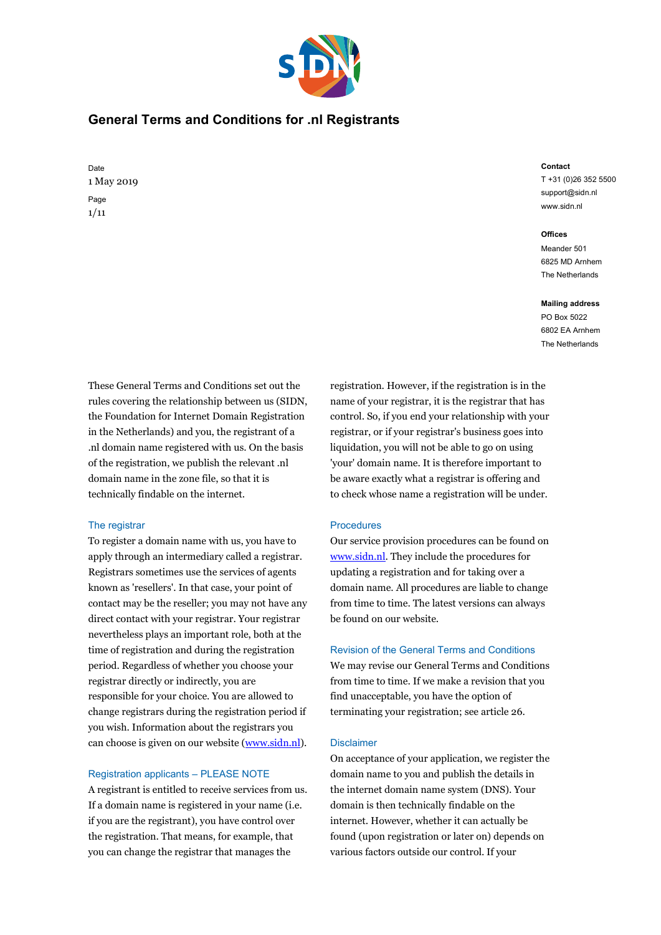

# **General Terms and Conditions for .nl Registrants**

Date 1 May 2019 Page 1/11

# **Contact**

T +31 (0)26 352 5500 support@sidn.nl www.sidn.nl

#### **Offices**

Meander 501 6825 MD Arnhem The Netherlands

#### **Mailing address**

PO Box 5022 6802 EA Arnhem The Netherlands

These General Terms and Conditions set out the rules covering the relationship between us (SIDN, the Foundation for Internet Domain Registration in the Netherlands) and you, the registrant of a .nl domain name registered with us. On the basis of the registration, we publish the relevant .nl domain name in the zone file, so that it is technically findable on the internet.

# The registrar

To register a domain name with us, you have to apply through an intermediary called a registrar. Registrars sometimes use the services of agents known as 'resellers'. In that case, your point of contact may be the reseller; you may not have any direct contact with your registrar. Your registrar nevertheless plays an important role, both at the time of registration and during the registration period. Regardless of whether you choose your registrar directly or indirectly, you are responsible for your choice. You are allowed to change registrars during the registration period if you wish. Information about the registrars you can choose is given on our website [\(www.sidn.nl\)](https://www.sidn.nl/en/registrars).

# Registration applicants – PLEASE NOTE

A registrant is entitled to receive services from us. If a domain name is registered in your name (i.e. if you are the registrant), you have control over the registration. That means, for example, that you can change the registrar that manages the

registration. However, if the registration is in the name of your registrar, it is the registrar that has control. So, if you end your relationship with your registrar, or if your registrar's business goes into liquidation, you will not be able to go on using 'your' domain name. It is therefore important to be aware exactly what a registrar is offering and to check whose name a registration will be under.

# Procedures

Our service provision procedures can be found on [www.sidn.nl.](https://www.sidn.nl/en/theme/nl-domain-name) They include the procedures for updating a registration and for taking over a domain name. All procedures are liable to change from time to time. The latest versions can always be found on our website.

# Revision of the General Terms and Conditions

We may revise our General Terms and Conditions from time to time. If we make a revision that you find unacceptable, you have the option of terminating your registration; see article 26.

## **Disclaimer**

On acceptance of your application, we register the domain name to you and publish the details in the internet domain name system (DNS). Your domain is then technically findable on the internet. However, whether it can actually be found (upon registration or later on) depends on various factors outside our control. If your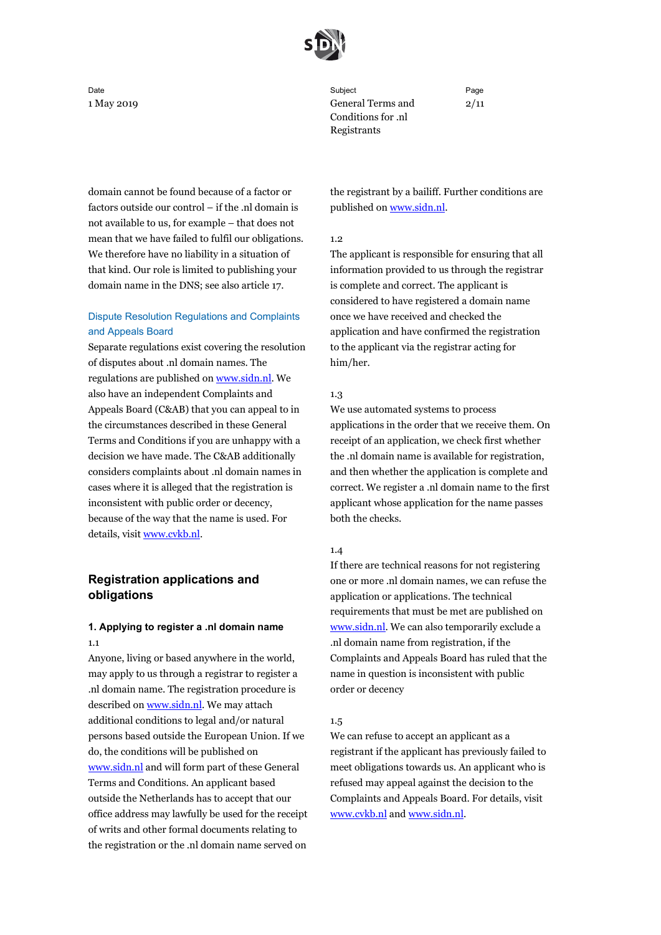

Date Subject Page 1 May 2019 General Terms and Conditions for .nl Registrants

2/11

domain cannot be found because of a factor or factors outside our control – if the .nl domain is not available to us, for example – that does not mean that we have failed to fulfil our obligations. We therefore have no liability in a situation of that kind. Our role is limited to publishing your domain name in the DNS; see also article 17.

# Dispute Resolution Regulations and Complaints and Appeals Board

Separate regulations exist covering the resolution of disputes about .nl domain names. The regulations are published on [www.sidn.nl.](https://www.sidn.nl/en/nl-domain-name/infringement-of-rights) We also have an independent Complaints and Appeals Board (C&AB) that you can appeal to in the circumstances described in these General Terms and Conditions if you are unhappy with a decision we have made. The C&AB additionally considers complaints about .nl domain names in cases where it is alleged that the registration is inconsistent with public order or decency, because of the way that the name is used. For details, visit [www.cvkb.nl.](http://www.cvkb.nl/en/)

# **Registration applications and obligations**

# **1. Applying to register a .nl domain name** 1.1

Anyone, living or based anywhere in the world, may apply to us through a registrar to register a .nl domain name. The registration procedure is described o[n www.sidn.nl.](https://www.sidn.nl/en/nl-domain-name/registering-a-domain-name) We may attach additional conditions to legal and/or natural persons based outside the European Union. If we do, the conditions will be published on [www.sidn.nl](https://www.sidn.nl/en) and will form part of these General Terms and Conditions. An applicant based outside the Netherlands has to accept that our office address may lawfully be used for the receipt of writs and other formal documents relating to the registration or the .nl domain name served on

the registrant by a bailiff. Further conditions are published o[n www.sidn.nl.](https://www.sidn.nl/downloads/K1-VF3wzT9ms4GkKNQaT1g/864367418371aed7e8b2391d8fc8b959/Domicile_address.pdf)

## 1.2

The applicant is responsible for ensuring that all information provided to us through the registrar is complete and correct. The applicant is considered to have registered a domain name once we have received and checked the application and have confirmed the registration to the applicant via the registrar acting for him/her.

## 1.3

We use automated systems to process applications in the order that we receive them. On receipt of an application, we check first whether the .nl domain name is available for registration, and then whether the application is complete and correct. We register a .nl domain name to the first applicant whose application for the name passes both the checks.

## 1.4

If there are technical reasons for not registering one or more .nl domain names, we can refuse the application or applications. The technical requirements that must be met are published on [www.sidn.nl.](https://www.sidn.nl/downloads/KwpW_ORWRWetYuoBp5GeYA/7e91faddb53ad85b8c6a2fce15d764cb/Technical_requirements_for_the_registration_and_use_of_nl_domain_names.pdf) We can also temporarily exclude a .nl domain name from registration, if the Complaints and Appeals Board has ruled that the name in question is inconsistent with public order or decency

## 1.5

We can refuse to accept an applicant as a registrant if the applicant has previously failed to meet obligations towards us. An applicant who is refused may appeal against the decision to the Complaints and Appeals Board. For details, visit [www.cvkb.nl](http://www.cvkb.nl/en/) and [www.sidn.nl.](https://www.sidn.nl/en/nl-domain-name/appealing-against-an-sidn-decision)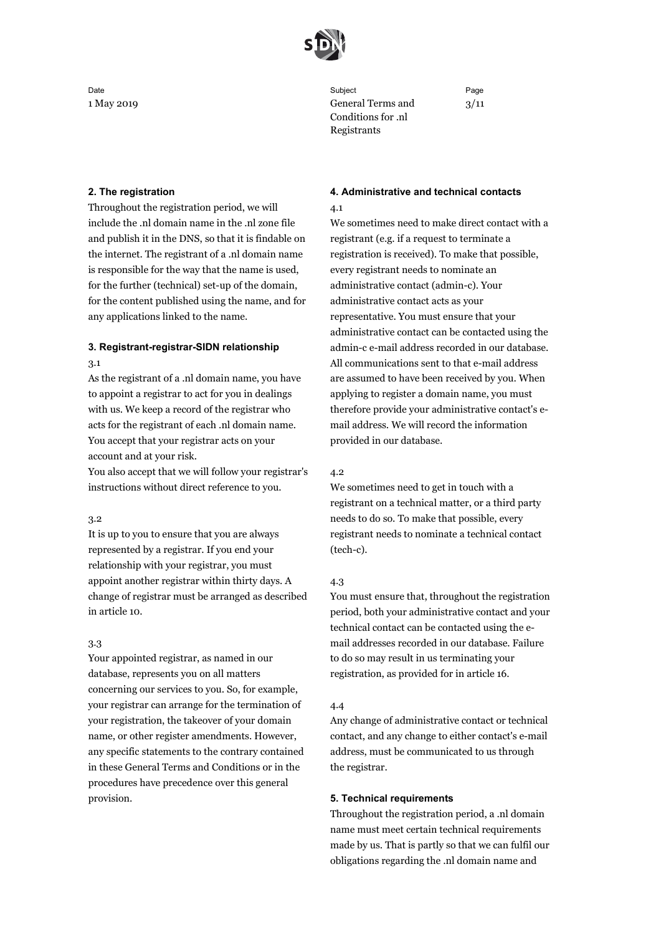

## **2. The registration**

Throughout the registration period, we will include the .nl domain name in the .nl zone file and publish it in the DNS, so that it is findable on the internet. The registrant of a .nl domain name is responsible for the way that the name is used, for the further (technical) set-up of the domain, for the content published using the name, and for any applications linked to the name.

# **3. Registrant-registrar-SIDN relationship**

## 3.1

As the registrant of a .nl domain name, you have to appoint a registrar to act for you in dealings with us. We keep a record of the registrar who acts for the registrant of each .nl domain name. You accept that your registrar acts on your account and at your risk.

You also accept that we will follow your registrar's instructions without direct reference to you.

# 3.2

It is up to you to ensure that you are always represented by a registrar. If you end your relationship with your registrar, you must appoint another registrar within thirty days. A change of registrar must be arranged as described in article 10.

## 3.3

Your appointed registrar, as named in our database, represents you on all matters concerning our services to you. So, for example, your registrar can arrange for the termination of your registration, the takeover of your domain name, or other register amendments. However, any specific statements to the contrary contained in these General Terms and Conditions or in the procedures have precedence over this general provision.

Date Subject Page 1 May 2019 General Terms and Conditions for .nl Registrants

3/11

# **4. Administrative and technical contacts**

## 4.1

We sometimes need to make direct contact with a registrant (e.g. if a request to terminate a registration is received). To make that possible, every registrant needs to nominate an administrative contact (admin-c). Your administrative contact acts as your representative. You must ensure that your administrative contact can be contacted using the admin-c e-mail address recorded in our database. All communications sent to that e-mail address are assumed to have been received by you. When applying to register a domain name, you must therefore provide your administrative contact's email address. We will record the information provided in our database.

## 4.2

We sometimes need to get in touch with a registrant on a technical matter, or a third party needs to do so. To make that possible, every registrant needs to nominate a technical contact (tech-c).

## 4.3

You must ensure that, throughout the registration period, both your administrative contact and your technical contact can be contacted using the email addresses recorded in our database. Failure to do so may result in us terminating your registration, as provided for in article 16.

## 4.4

Any change of administrative contact or technical contact, and any change to either contact's e-mail address, must be communicated to us through the registrar.

## **5. Technical requirements**

Throughout the registration period, a .nl domain name must meet certain technical requirements made by us. That is partly so that we can fulfil our obligations regarding the .nl domain name and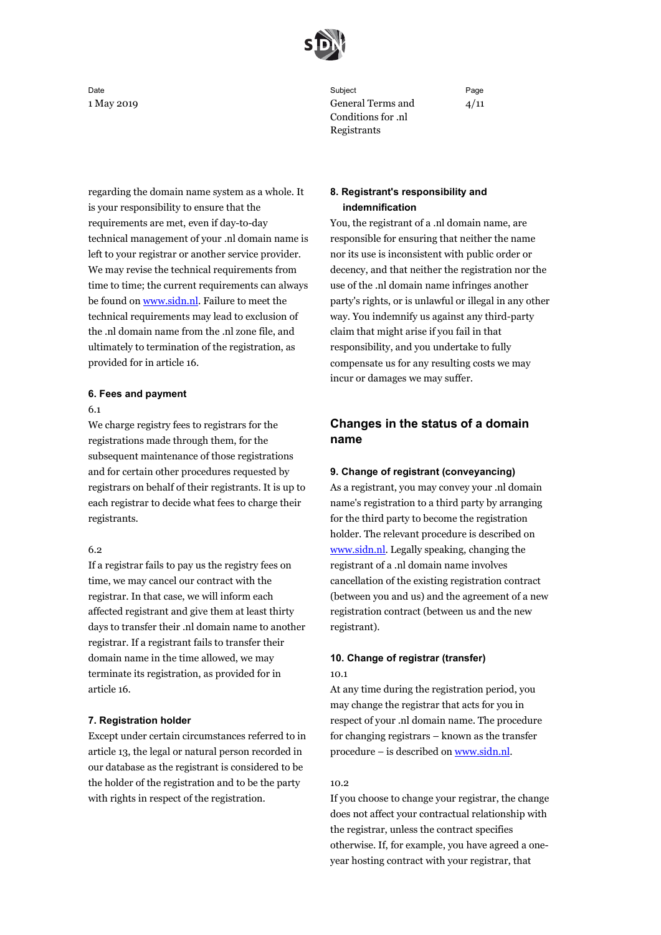

regarding the domain name system as a whole. It is your responsibility to ensure that the requirements are met, even if day-to-day technical management of your .nl domain name is left to your registrar or another service provider. We may revise the technical requirements from time to time; the current requirements can always be found on [www.sidn.nl.](https://www.sidn.nl/downloads/KwpW_ORWRWetYuoBp5GeYA/7e91faddb53ad85b8c6a2fce15d764cb/Technical_requirements_for_the_registration_and_use_of_nl_domain_names.pdf) Failure to meet the technical requirements may lead to exclusion of the .nl domain name from the .nl zone file, and ultimately to termination of the registration, as provided for in article 16.

# **6. Fees and payment**

6.1

We charge registry fees to registrars for the registrations made through them, for the subsequent maintenance of those registrations and for certain other procedures requested by registrars on behalf of their registrants. It is up to each registrar to decide what fees to charge their registrants.

## 6.2

If a registrar fails to pay us the registry fees on time, we may cancel our contract with the registrar. In that case, we will inform each affected registrant and give them at least thirty days to transfer their .nl domain name to another registrar. If a registrant fails to transfer their domain name in the time allowed, we may terminate its registration, as provided for in article 16.

# **7. Registration holder**

Except under certain circumstances referred to in article 13, the legal or natural person recorded in our database as the registrant is considered to be the holder of the registration and to be the party with rights in respect of the registration.

Date Subject Page 1 May 2019 General Terms and Conditions for .nl Registrants

4/11

# **8. Registrant's responsibility and indemnification**

You, the registrant of a .nl domain name, are responsible for ensuring that neither the name nor its use is inconsistent with public order or decency, and that neither the registration nor the use of the .nl domain name infringes another party's rights, or is unlawful or illegal in any other way. You indemnify us against any third-party claim that might arise if you fail in that responsibility, and you undertake to fully compensate us for any resulting costs we may incur or damages we may suffer.

# **Changes in the status of a domain name**

# **9. Change of registrant (conveyancing)**

As a registrant, you may convey your .nl domain name's registration to a third party by arranging for the third party to become the registration holder. The relevant procedure is described on [www.sidn.nl.](https://www.sidn.nl/en/nl-domain-name/changing-your-domain-names-registrant) Legally speaking, changing the registrant of a .nl domain name involves cancellation of the existing registration contract (between you and us) and the agreement of a new registration contract (between us and the new registrant).

# **10. Change of registrar (transfer)** 10.1

At any time during the registration period, you may change the registrar that acts for you in respect of your .nl domain name. The procedure for changing registrars – known as the transfer procedure – is described on [www.sidn.nl.](https://www.sidn.nl/en/nl-domain-name/transferring-your-domain-name) 

# 10.2

If you choose to change your registrar, the change does not affect your contractual relationship with the registrar, unless the contract specifies otherwise. If, for example, you have agreed a oneyear hosting contract with your registrar, that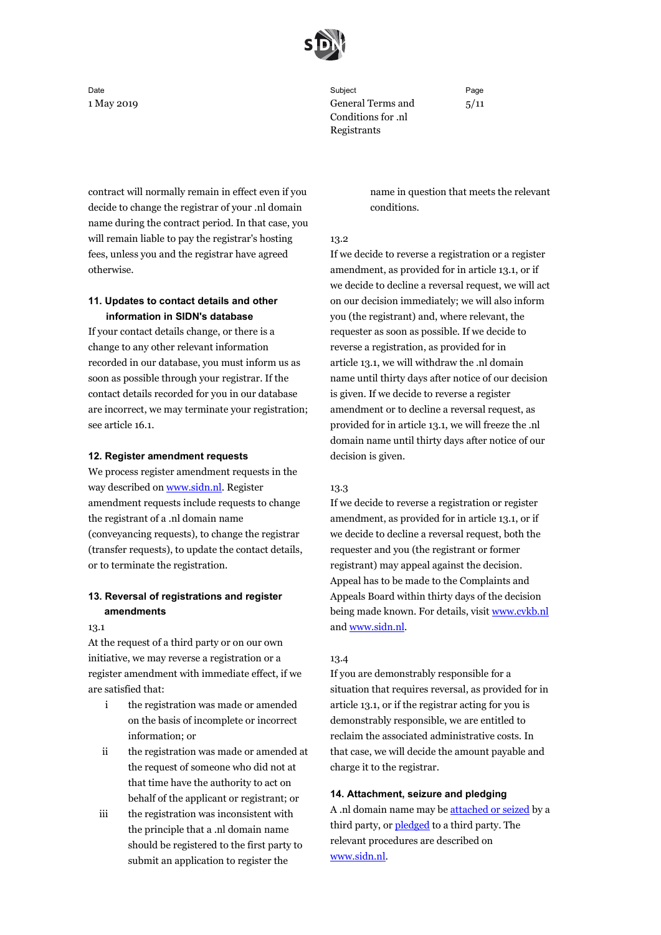

contract will normally remain in effect even if you decide to change the registrar of your .nl domain name during the contract period. In that case, you will remain liable to pay the registrar's hosting fees, unless you and the registrar have agreed otherwise.

# **11. Updates to contact details and other information in SIDN's database**

If your contact details change, or there is a change to any other relevant information recorded in our database, you must inform us as soon as possible through your registrar. If the contact details recorded for you in our database are incorrect, we may terminate your registration; see article 16.1.

## **12. Register amendment requests**

We process register amendment requests in the way described on [www.sidn.nl.](https://www.sidn.nl/en/theme/nl-domain-name) Register amendment requests include requests to change the registrant of a .nl domain name (conveyancing requests), to change the registrar (transfer requests), to update the contact details, or to terminate the registration.

# **13. Reversal of registrations and register amendments**

## 13.1

At the request of a third party or on our own initiative, we may reverse a registration or a register amendment with immediate effect, if we are satisfied that:

- i the registration was made or amended on the basis of incomplete or incorrect information; or
- ii the registration was made or amended at the request of someone who did not at that time have the authority to act on behalf of the applicant or registrant; or
- iii the registration was inconsistent with the principle that a .nl domain name should be registered to the first party to submit an application to register the

Date Subject Page 1 May 2019 General Terms and Conditions for .nl Registrants

5/11

name in question that meets the relevant conditions.

## 13.2

If we decide to reverse a registration or a register amendment, as provided for in article 13.1, or if we decide to decline a reversal request, we will act on our decision immediately; we will also inform you (the registrant) and, where relevant, the requester as soon as possible. If we decide to reverse a registration, as provided for in article 13.1, we will withdraw the .nl domain name until thirty days after notice of our decision is given. If we decide to reverse a register amendment or to decline a reversal request, as provided for in article 13.1, we will freeze the .nl domain name until thirty days after notice of our decision is given.

# 13.3

If we decide to reverse a registration or register amendment, as provided for in article 13.1, or if we decide to decline a reversal request, both the requester and you (the registrant or former registrant) may appeal against the decision. Appeal has to be made to the Complaints and Appeals Board within thirty days of the decision being made known. For details, visit [www.cvkb.nl](http://www.cvkb.nl/en/) and [www.sidn.nl.](https://www.sidn.nl/en/nl-domain-name/appealing-against-an-sidn-decision)

## 13.4

If you are demonstrably responsible for a situation that requires reversal, as provided for in article 13.1, or if the registrar acting for you is demonstrably responsible, we are entitled to reclaim the associated administrative costs. In that case, we will decide the amount payable and charge it to the registrar.

## **14. Attachment, seizure and pledging**

A .nl domain name may be [attached or seized](https://www.sidn.nl/en/nl-domain-name/attachment-and-seizure-of-a-domain-name) by a third party, or **pledged** to a third party. The relevant procedures are described on [www.sidn.nl.](https://www.sidn.nl/en/theme/nl-domain-name)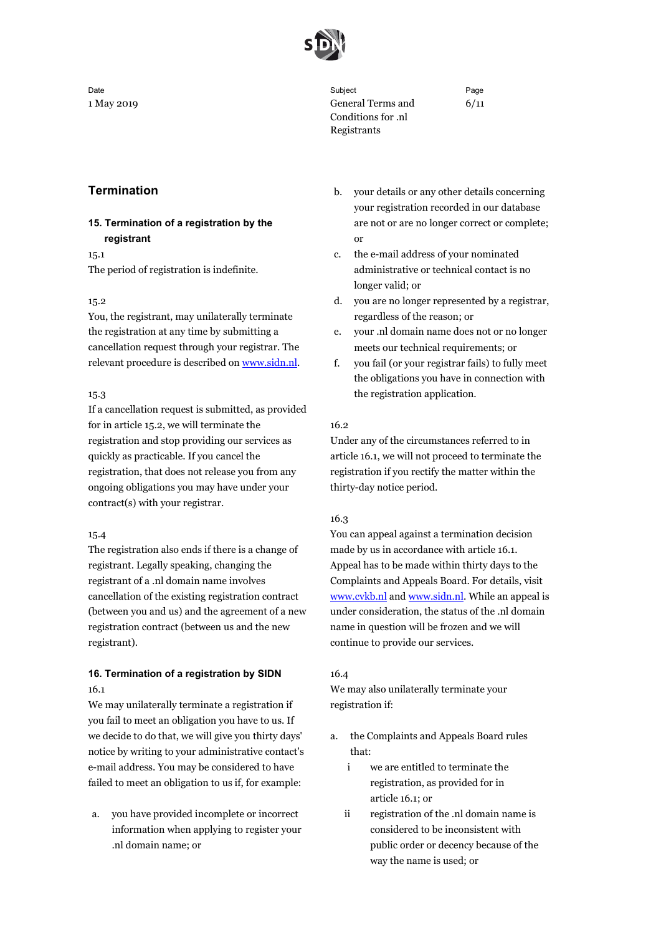

Conditions for .nl Registrants

Date Subject Page 1 May 2019 General Terms and

# **Termination**

# **15. Termination of a registration by the registrant**

15.1

The period of registration is indefinite.

# 15.2

You, the registrant, may unilaterally terminate the registration at any time by submitting a cancellation request through your registrar. The relevant procedure is described o[n www.sidn.nl.](https://www.sidn.nl/en/nl-domain-name/cancelling-your-domain-name)

# 15.3

If a cancellation request is submitted, as provided for in article 15.2, we will terminate the registration and stop providing our services as quickly as practicable. If you cancel the registration, that does not release you from any ongoing obligations you may have under your contract(s) with your registrar.

# 15.4

The registration also ends if there is a change of registrant. Legally speaking, changing the registrant of a .nl domain name involves cancellation of the existing registration contract (between you and us) and the agreement of a new registration contract (between us and the new registrant).

# **16. Termination of a registration by SIDN** 16.1

We may unilaterally terminate a registration if you fail to meet an obligation you have to us. If we decide to do that, we will give you thirty days' notice by writing to your administrative contact's e-mail address. You may be considered to have failed to meet an obligation to us if, for example:

a. you have provided incomplete or incorrect information when applying to register your .nl domain name; or

b. your details or any other details concerning your registration recorded in our database are not or are no longer correct or complete; or

6/11

- c. the e-mail address of your nominated administrative or technical contact is no longer valid; or
- d. you are no longer represented by a registrar, regardless of the reason; or
- e. your .nl domain name does not or no longer meets our technical requirements; or
- f. you fail (or your registrar fails) to fully meet the obligations you have in connection with the registration application.

# 16.2

Under any of the circumstances referred to in article 16.1, we will not proceed to terminate the registration if you rectify the matter within the thirty-day notice period.

# 16.3

You can appeal against a termination decision made by us in accordance with article 16.1. Appeal has to be made within thirty days to the Complaints and Appeals Board. For details, visit [www.cvkb.nl](http://www.cvkb.nl/en/) and [www.sidn.nl.](https://www.sidn.nl/en/nl-domain-name/appealing-against-an-sidn-decision) While an appeal is under consideration, the status of the .nl domain name in question will be frozen and we will continue to provide our services.

# 16.4

We may also unilaterally terminate your registration if:

- a. the Complaints and Appeals Board rules that:
	- i we are entitled to terminate the registration, as provided for in article 16.1; or
	- ii registration of the .nl domain name is considered to be inconsistent with public order or decency because of the way the name is used; or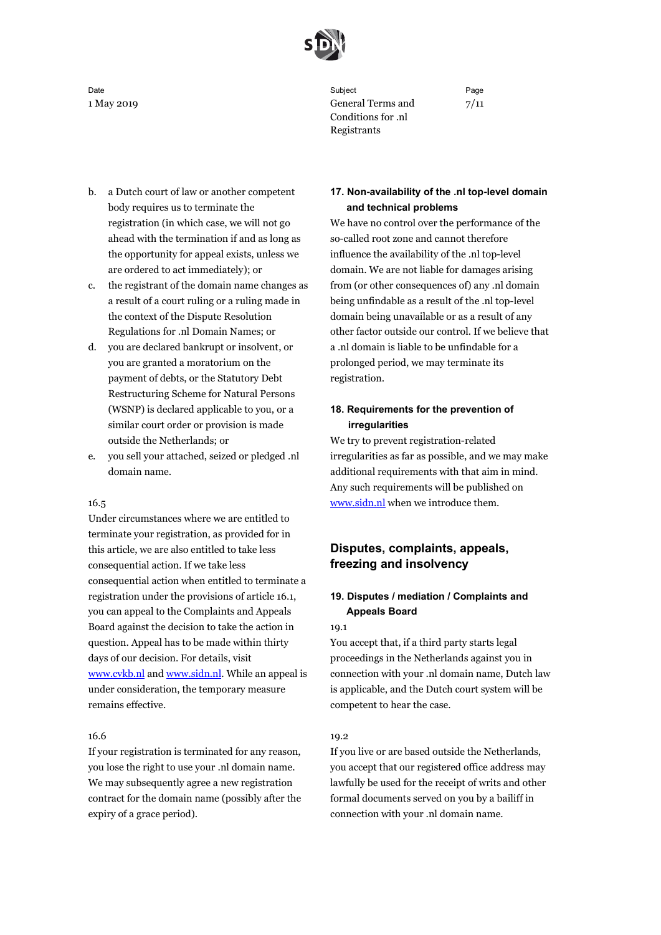

- b. a Dutch court of law or another competent body requires us to terminate the registration (in which case, we will not go ahead with the termination if and as long as the opportunity for appeal exists, unless we are ordered to act immediately); or
- c. the registrant of the domain name changes as a result of a court ruling or a ruling made in the context of the Dispute Resolution Regulations for .nl Domain Names; or
- d. you are declared bankrupt or insolvent, or you are granted a moratorium on the payment of debts, or the Statutory Debt Restructuring Scheme for Natural Persons (WSNP) is declared applicable to you, or a similar court order or provision is made outside the Netherlands; or
- e. you sell your attached, seized or pledged .nl domain name.

# 16.5

Under circumstances where we are entitled to terminate your registration, as provided for in this article, we are also entitled to take less consequential action. If we take less consequential action when entitled to terminate a registration under the provisions of article 16.1, you can appeal to the Complaints and Appeals Board against the decision to take the action in question. Appeal has to be made within thirty days of our decision. For details, visit [www.cvkb.nl](http://www.cvkb.nl/en/) and [www.sidn.nl.](https://www.sidn.nl/en/nl-domain-name/appealing-against-an-sidn-decision) While an appeal is under consideration, the temporary measure remains effective.

## 16.6

If your registration is terminated for any reason, you lose the right to use your .nl domain name. We may subsequently agree a new registration contract for the domain name (possibly after the expiry of a grace period).

Date Subject Page 1 May 2019 General Terms and Conditions for .nl Registrants

7/11

# **17. Non-availability of the .nl top-level domain and technical problems**

We have no control over the performance of the so-called root zone and cannot therefore influence the availability of the .nl top-level domain. We are not liable for damages arising from (or other consequences of) any .nl domain being unfindable as a result of the .nl top-level domain being unavailable or as a result of any other factor outside our control. If we believe that a .nl domain is liable to be unfindable for a prolonged period, we may terminate its registration.

# **18. Requirements for the prevention of irregularities**

We try to prevent registration-related irregularities as far as possible, and we may make additional requirements with that aim in mind. Any such requirements will be published on [www.sidn.nl](https://www.sidn.nl/en/nl-domain-name/verification-of-registration-data) when we introduce them.

# **Disputes, complaints, appeals, freezing and insolvency**

# **19. Disputes / mediation / Complaints and Appeals Board**

#### 19.1

You accept that, if a third party starts legal proceedings in the Netherlands against you in connection with your .nl domain name, Dutch law is applicable, and the Dutch court system will be competent to hear the case.

## 19.2

If you live or are based outside the Netherlands, you accept that our registered office address may lawfully be used for the receipt of writs and other formal documents served on you by a bailiff in connection with your .nl domain name.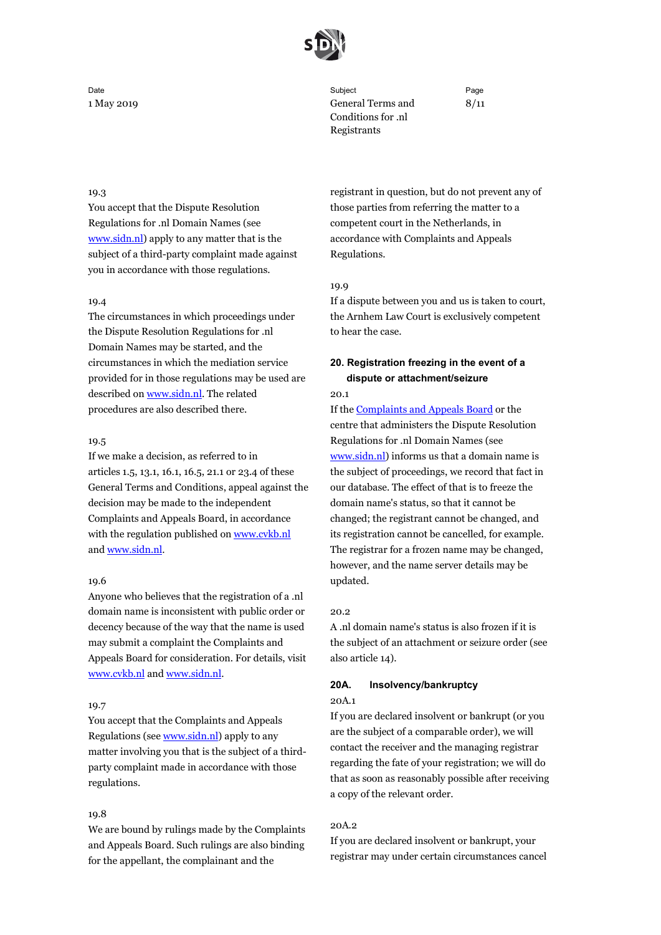

# Date Subject Page 1 May 2019 General Terms and Conditions for .nl Registrants

8/11

## 19.3

You accept that the Dispute Resolution Regulations for .nl Domain Names (see [www.sidn.nl\)](https://www.sidn.nl/en/nl-domain-name/infringement-of-rights) apply to any matter that is the subject of a third-party complaint made against you in accordance with those regulations.

## 19.4

The circumstances in which proceedings under the Dispute Resolution Regulations for .nl Domain Names may be started, and the circumstances in which the mediation service provided for in those regulations may be used are described o[n www.sidn.nl.](https://www.sidn.nl/en/nl-domain-name/infringement-of-rights) The related procedures are also described there.

## 19.5

If we make a decision, as referred to in articles 1.5, 13.1, 16.1, 16.5, 21.1 or 23.4 of these General Terms and Conditions, appeal against the decision may be made to the independent Complaints and Appeals Board, in accordance with the regulation published on [www.cvkb.nl](http://www.cvkb.nl/en/) and www.sidn.nl.

## 19.6

Anyone who believes that the registration of a .nl domain name is inconsistent with public order or decency because of the way that the name is used may submit a complaint the Complaints and Appeals Board for consideration. For details, visit [www.cvkb.nl](http://www.cvkb.nl/en/) and [www.sidn.nl.](https://www.sidn.nl/en/nl-domain-name/complaining-about-a-domain-name)

# 19.7

You accept that the Complaints and Appeals Regulations (see [www.sidn.nl\)](https://www.sidn.nl/downloads/iCMVY3_eQwmGUUc_JtzfqQ/8a7ee8ec2c3813f6af61963d245b2825/Complaints_and_Appeals_Regulations.pdf) apply to any matter involving you that is the subject of a thirdparty complaint made in accordance with those regulations.

## 19.8

We are bound by rulings made by the Complaints and Appeals Board. Such rulings are also binding for the appellant, the complainant and the

registrant in question, but do not prevent any of those parties from referring the matter to a competent court in the Netherlands, in accordance with Complaints and Appeals Regulations.

#### 19.9

If a dispute between you and us is taken to court, the Arnhem Law Court is exclusively competent to hear the case.

# **20. Registration freezing in the event of a dispute or attachment/seizure**

20.1

If the [Complaints and Appeals Board](http://www.cvkb.nl/en/) or the centre that administers the Dispute Resolution Regulations for .nl Domain Names (see [www.sidn.nl\)](https://www.sidn.nl/en/nl-domain-name/infringement-of-rights) informs us that a domain name is the subject of proceedings, we record that fact in our database. The effect of that is to freeze the domain name's status, so that it cannot be changed; the registrant cannot be changed, and its registration cannot be cancelled, for example. The registrar for a frozen name may be changed, however, and the name server details may be updated.

#### 20.2

A .nl domain name's status is also frozen if it is the subject of an attachment or seizure order (see also article 14).

# **20A. Insolvency/bankruptcy**

# 20A.1

If you are declared insolvent or bankrupt (or you are the subject of a comparable order), we will contact the receiver and the managing registrar regarding the fate of your registration; we will do that as soon as reasonably possible after receiving a copy of the relevant order.

## $20A.2$

If you are declared insolvent or bankrupt, your registrar may under certain circumstances cancel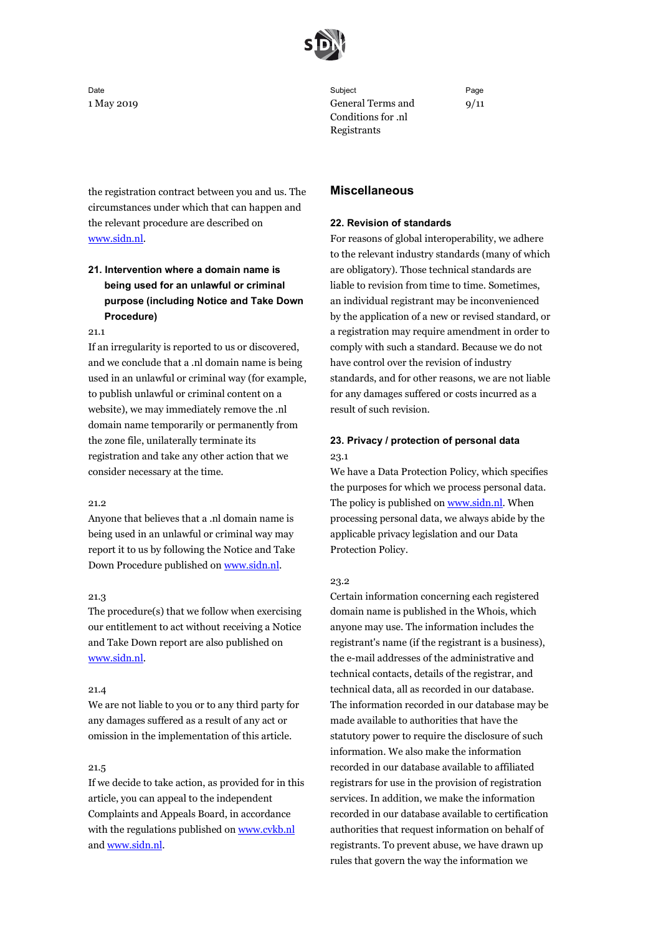

the registration contract between you and us. The circumstances under which that can happen and the relevant procedure are described on [www.sidn.nl.](https://www.sidn.nl/en/nl-domain-name/cancelling-your-domain-name)

# **21. Intervention where a domain name is being used for an unlawful or criminal purpose (including Notice and Take Down Procedure)**

21.1

If an irregularity is reported to us or discovered, and we conclude that a .nl domain name is being used in an unlawful or criminal way (for example, to publish unlawful or criminal content on a website), we may immediately remove the .nl domain name temporarily or permanently from the zone file, unilaterally terminate its registration and take any other action that we consider necessary at the time.

## 21.2

Anyone that believes that a .nl domain name is being used in an unlawful or criminal way may report it to us by following the Notice and Take Down Procedure published on [www.sidn.nl.](https://www.sidn.nl/en/nl-domain-name/complaining-about-the-content-of-a-website)

## 21.3

The procedure(s) that we follow when exercising our entitlement to act without receiving a Notice and Take Down report are also published on [www.sidn.nl.](https://www.sidn.nl/en/cybersecurity/combat-phishing-and-malware)

# 21.4

We are not liable to you or to any third party for any damages suffered as a result of any act or omission in the implementation of this article.

## 21.5

If we decide to take action, as provided for in this article, you can appeal to the independent Complaints and Appeals Board, in accordance with the regulations published o[n www.cvkb.nl](http://www.cvkb.nl/en/) an[d www.sidn.nl.](https://www.sidn.nl/en/nl-domain-name/appealing-against-an-sidn-decision) 

Date Subject Page 1 May 2019 General Terms and Conditions for .nl Registrants

9/11

## **Miscellaneous**

## **22. Revision of standards**

For reasons of global interoperability, we adhere to the relevant industry standards (many of which are obligatory). Those technical standards are liable to revision from time to time. Sometimes, an individual registrant may be inconvenienced by the application of a new or revised standard, or a registration may require amendment in order to comply with such a standard. Because we do not have control over the revision of industry standards, and for other reasons, we are not liable for any damages suffered or costs incurred as a result of such revision.

# **23. Privacy / protection of personal data** 23.1

We have a Data Protection Policy, which specifies the purposes for which we process personal data. The policy is published on [www.sidn.nl.](https://www.sidn.nl/en/nl-domain-name/sidn-and-privacy) When processing personal data, we always abide by the applicable privacy legislation and our Data Protection Policy.

## 23.2

Certain information concerning each registered domain name is published in the Whois, which anyone may use. The information includes the registrant's name (if the registrant is a business), the e-mail addresses of the administrative and technical contacts, details of the registrar, and technical data, all as recorded in our database. The information recorded in our database may be made available to authorities that have the statutory power to require the disclosure of such information. We also make the information recorded in our database available to affiliated registrars for use in the provision of registration services. In addition, we make the information recorded in our database available to certification authorities that request information on behalf of registrants. To prevent abuse, we have drawn up rules that govern the way the information we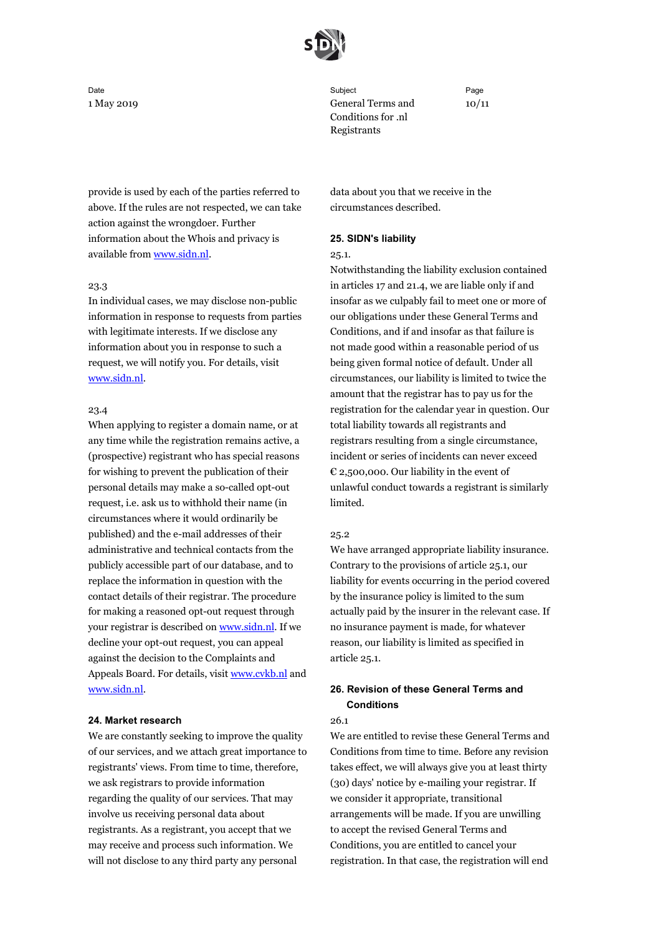

provide is used by each of the parties referred to above. If the rules are not respected, we can take action against the wrongdoer. Further information about the Whois and privacy is available fro[m www.sidn.nl.](https://www.sidn.nl/en/nl-domain-name/sidn-and-privacy)

## 23.3

In individual cases, we may disclose non-public information in response to requests from parties with legitimate interests. If we disclose any information about you in response to such a request, we will notify you. For details, visit [www.sidn.nl.](https://www.sidn.nl/en/nl-domain-name/sidn-and-privacy)

## 23.4

When applying to register a domain name, or at any time while the registration remains active, a (prospective) registrant who has special reasons for wishing to prevent the publication of their personal details may make a so-called opt-out request, i.e. ask us to withhold their name (in circumstances where it would ordinarily be published) and the e-mail addresses of their administrative and technical contacts from the publicly accessible part of our database, and to replace the information in question with the contact details of their registrar. The procedure for making a reasoned opt-out request through your registrar is described o[n www.sidn.nl.](https://www.sidn.nl/en/nl-domain-name/opt-out-requests) If we decline your opt-out request, you can appeal against the decision to the Complaints and Appeals Board. For details, visit [www.cvkb.nl](http://www.cvkb.nl/en/) and [www.sidn.nl.](https://www.sidn.nl/en/nl-domain-name/appealing-against-an-sidn-decision)

#### **24. Market research**

We are constantly seeking to improve the quality of our services, and we attach great importance to registrants' views. From time to time, therefore, we ask registrars to provide information regarding the quality of our services. That may involve us receiving personal data about registrants. As a registrant, you accept that we may receive and process such information. We will not disclose to any third party any personal

Date Subject Page 1 May 2019 General Terms and Conditions for .nl Registrants

10/11

data about you that we receive in the circumstances described.

## **25. SIDN's liability**

#### 25.1.

Notwithstanding the liability exclusion contained in articles 17 and 21.4, we are liable only if and insofar as we culpably fail to meet one or more of our obligations under these General Terms and Conditions, and if and insofar as that failure is not made good within a reasonable period of us being given formal notice of default. Under all circumstances, our liability is limited to twice the amount that the registrar has to pay us for the registration for the calendar year in question. Our total liability towards all registrants and registrars resulting from a single circumstance, incident or series of incidents can never exceed € 2,500,000. Our liability in the event of unlawful conduct towards a registrant is similarly limited.

#### 25.2

We have arranged appropriate liability insurance. Contrary to the provisions of article 25.1, our liability for events occurring in the period covered by the insurance policy is limited to the sum actually paid by the insurer in the relevant case. If no insurance payment is made, for whatever reason, our liability is limited as specified in article 25.1.

# **26. Revision of these General Terms and Conditions**

#### 26.1

We are entitled to revise these General Terms and Conditions from time to time. Before any revision takes effect, we will always give you at least thirty (30) days' notice by e-mailing your registrar. If we consider it appropriate, transitional arrangements will be made. If you are unwilling to accept the revised General Terms and Conditions, you are entitled to cancel your registration. In that case, the registration will end